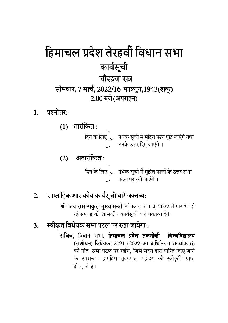## हिमाचल प्रदेश तेरहवीं विधान सभा कार्यसूची चौदहवां सत्र सोमवार, 7 मार्च, 2022/16 फाल्गुन, 1943 (शक्) 2.00 बजे (अपराह्न)

 $1<sup>1</sup>$ प्रश्नोत्तर:



#### साप्ताहिक शासकीय कार्यसूची बारे वक्तव्य:  $\overline{2}$ .

श्री जय राम ठाकुर, मुख्य मन्त्री, सोमवार, 7 मार्च, 2022 से प्रारम्भ हो रहे सप्ताह की शासकीय कार्यसूची बारे वक्तव्य देंगे।

#### स्वीकृत विधेयक सभा पटल पर रखा जायेगा : 3.

सचिव, विधान सभा, हिमाचल प्रदेश तकनीकी विश्वविद्यालय (संशोधन) विधेयक, 2021 (2022 का अधिनियम संख्यांक 6) की प्रति सभा पटल पर रखेंगे, जिसे सदन द्वारा पारित किए जाने के उपरान्त महामहिम राज्यपाल महोदय की स्वीकृति प्राप्त हो चुकी है।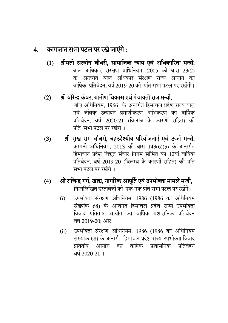### 4. कागज़ात सभा पटल पर रखे जाएंगे:

- (1) श्रीमती सरवीन चौधरी, सामाजिक न्याय एवं अधिकारिता मन्त्री, बाल अधिकार संरक्षण अधिनियम, 2005 की धारा 23(2) के अन्तर्गत बाल अधिकार संरक्षण राज्य आयोग का वार्षिक प्रतिवेदन, वर्ष 2019-20 की प्रति सभा पटल पर रखेंगी।
- (2) श्री वीरेन्द्र कंवर, ग्रामीण विकास एवं पंचायती राज मन्त्री, बोज़ अधिनियम, 1966 के अन्तर्गत हिमाचल प्रदेश राज्य बोज़ एवं जैविक उत्पादन प्रमाणीकरण अभिकरण का वार्षिक प्रतिवेदन. वर्ष 2020-21 (विलम्ब के कारणों सहित) की प्रति सभा पटल पर रखेंगे ।
- (3) श्री सुख राम चौधरी, बहुउद्देश्यीय परियोजनाएं एवं ऊर्जा मन्त्री, कम्पनी अधिनियम, 2013 की धारा 143(6)(b) के अन्तर्गत हिमाचल प्रदेश विद्युत सचार निगम सीमित का 12वा वाषिक प्रतिवेदन, वर्ष 2019-20 (विलम्ब के कारणों सहित) की प्रति सभा पटल पर रखेंगे ।
- <u>(4) श्री राजिन्द्र</u> गर्ग, खाद्य, नागरिक आपूर्ति एवं उपभोक्ता मामले मन्त्री, निम्नलिखित दस्तावेज़ों की एक-एक प्रति सभा पटल पर रखेंगे:-
	- (i) उपभोक्ता संरक्षण अधिनियम, 1986 (1986 का अधिनियम संख्याक 68) के अन्तर्गत हिमाचल प्रदेश राज्य उपभोक्ता विवाद प्रतितोष आयोग का वार्षिक प्रशासनिक प्रतिवेदन वर्ष 2019-20: और
	- (ii) उपभोक्ता संरक्षण अधिनियम, 1986 (1986 का अधिनियम संख्याक 68) के अन्तर्गत हिमाचल प्रदेश राज्य उपभोक्ता विवाद प्रतितोष आयोग का वार्षिक प्रशासनिक प्रतिवेदन वर्ष 2020-21 ।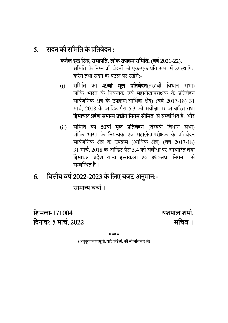#### सदन की समिति के प्रतिवेदन :  $5<sub>1</sub>$

### कर्नल इन्द्र सिंह, सभापति, लोक उपक्रम समिति, (वर्ष 2021-22),

समिति के निम्न प्रतिवेदनों की एक-एक प्रति सभा में उपस्थापित करेंगे तथा सदन के पटल पर रखेंगे.-

- समिति का 49वां मूल प्रतिवेदन(तेरहवीं विधान सभा)  $(i)$ जोकि भारत के नियन्त्रक एवं महालेखापरीक्षक के प्रतिवेदन सार्वजनिक क्षेत्र के उपक्रम(आर्थिक क्षेत्र) (वर्ष 2017-18) 31 मार्च, 2018 के ऑडिट पैरा 5.3 की संवीक्षा पर आधारित तथा हिमाचल प्रदेश समान्य उद्योग निगम सीमित से सम्बन्धित है; और
- समिति का 50वां मूल प्रतिवेदन (तेरहवीं विधान सभा)  $(ii)$ जोकि भारत के नियन्त्रक एवं महालेखापरीक्षक के प्रतिवेदन सार्वजनिक क्षेत्र के उपक्रम (आर्थिक क्षेत्र) (वर्ष 2017-18) 31 मार्च, 2018 के ऑडिट पैरा 5.4 की संवीक्षा पर आधारित तथा हिमाचल प्रदेश राज्य हस्तकला एवं हथकरघा निगम से सम्बन्धित है ।
- वित्तीय वर्ष 2022-2023 के लिए बजट अनुमान:- $6.$

सामान्य चर्चा ।

शिमला-171004 दिनांक: 5 मार्च, 2022 यशपाल शर्मा. सचिव ।

مله مله مله مله

(अनुपुरक कार्यसूची, यदि कोई हो, की भी जांच कर लें)